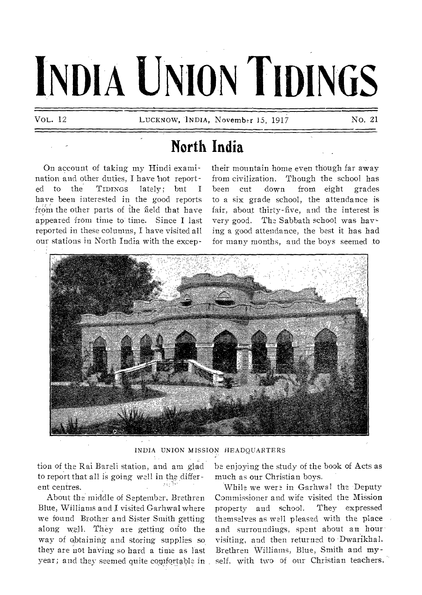# **INDIA UNION TIDINGS**

**VOL. 12 LUCKNOW, INDIA, November 15, 1917 No. 21** 

# **North India**

On account of taking my Hindi exami**nation and other duties, I have 'hot report**ed to the TIDINGS lately; but I **have been interested in the good reports**  from the other parts of the field that have **appeared from time to time. Since I last reported in these columns, I have visited all our stations in North India with the excep-** **mountain home even though far away from civilization. Though the school has been cut down from eight grades to a six grade school, the attendance is fair, about thirty-five, and the interest is very good. The Sabbath school was having a good attendance, the best it has had for many months, and the boys seemed to** 



**INDIA UNION MISSION HEADQUARTERS** 

**tion of the Rai Bareli station, and am glad**  to report that all is going well in the different centres.<br>About the middle of September, Brethren

**Blue, Williams and I visited Garhwal where we found Brother and Sister Smith getting along well. They are getting onto the way of obtaining-and storing supplies so they are not having so hard a tine as fast year; and they seemed quite comfqrtable in** 

**be enjoying the study of the book of Acts as much as our Christian boys.** 

**While we were in Garhwal the Deputy Commissioner and wife visited the Migsion property and school. They expressed themselves as well pleased with the place and surroundings, spent about an hour visiting, and then returned to -Dwarikhal. Brethren Williams, Blue, Smith and myself, with two of our Christian teachers,**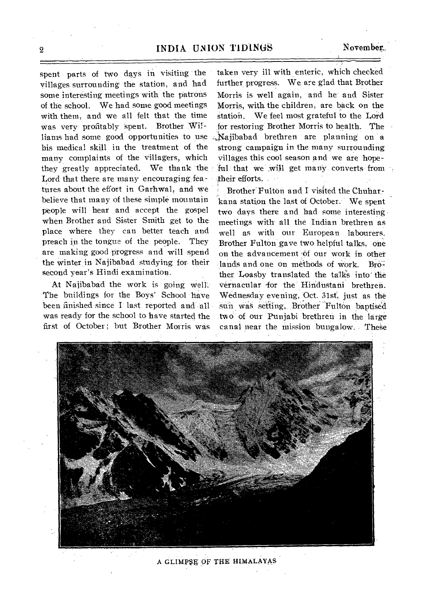spent parts of two days in visiting the yillages surrounding the station, and had some interesting meetings with the patrons of the school. We had some good meetings with them, and we all felt that the time was very profitably spent. Brother Williams had some good opportunities to use Najibabad brethren are planning on a his medical skill in the treatment of the many complaints of the villagers, which they greatly appreciated. We thank 'the Lord that there are many encouraging features about the effort in Garhwal, and we believe that many of these simple mountain people will hear and accept the gospel when Brother and Sister Smith get to the place where they can better teach and preach in the tongue of the people. They are making good progress and will spend the winter in Najibabad studying for their second year's Hindi examination.

At Najibabad the work is going Well:. The buildings for the Boys' School have been finished since I last reported and all was ready for the school to have started the first of October; but Brother Morris was

taken very ill with enteric, which checked further progress. We are glad that Brother Morris is well again, and he-and Sister Morris, with the children, are back on the station. We feel most grateful to the Lord for restoring' Brother Morris to health. The strong campaign in the many surrounding villages this cool season and we are hopeful that we will get many converts from . their efforts.

Brother Fulton and I visited the Chuharkana station the last of October: We spent two days there and had some interesting • meetings with- all the Indian brethren as well as with our European labourers. Brother Fulton gave two helpful talks, one on the advancement of our work in other lands and one on methods of work. Brother Loasby translated the talks into the vernacular for the Hindustani brethren. Wednesday evening, Oct. 31st, just as the suin was setting, Brother Fulton baptised two of our Punjabi brethren in the large canal near the mission bungalow. These



A GLIMPSE OF THE HIMALAYAS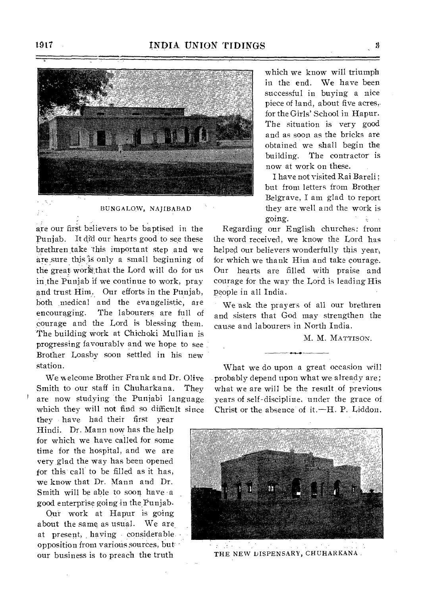

#### BUNGALOW, NAJIBABAD

are our first believers to be baptised in the Punjab. It did our hearts good to see these brethren take this important step \_and we are sure this is only a small beginning of the great work that the Lord will do for us in the Punjab if we continue to work, pray and trust Him. Our efforts in the Punjab, both medical and the evangelistic, are encouraging. The labourers are full of courage and the Lord is blessing them. The building work at Chichoki Mullian is progressing favourably and we hope to see Brother Loasby soon settled in his new station.

We welcome Brother Frank and Dr. Olive Smith to our staff in Chuharkana. They are now studying the Punjabi language which they will not find so difficult since

they • have had their first year Hindi. Dr. Mann now has the help for which we have called for some time for the hospital, and we are very glad the way has been opened for this-call to be filled as it has, we know that Dr. Mann and Dr. Smith will be able to soon have a good enterprise going in the Punjab.

Qui work at Hapur is going about the same as usual. We are at present, having • considerable. opposition from various sources, but our business is to preach the truth

which we know will triumph in the end. We have been successful in buying a nice piece of land, about five acres,• for the Girls' School in Hapur. The situation is very good and as soon as the bricks are obtained we shall begin the building. The contractor is now at work on these.

I have not visited Rai Bareli ; but from letters from Brother Belgrave, I am glad to report they are well and the work is going.

Regarding our English churches: from the word received, we know the Lord has helped our believers wonderfully this year, for which we thank Him and take courage. Our hearts are filled with praise and courage for the way the Lord is leading His people in all India.

We ask the prayers of all our brethren and sisters that God may strengthen the cause and labourers in North India.

M. M. MATTISON.

What we do upon a great occasion will probably depend upon what we already are; what we are will be the result of previous years of self-discipline, under the grace of Christ or the absence of it.—H. P. Liddon.



THE NEW DISPENSARY, CHUHARKANA.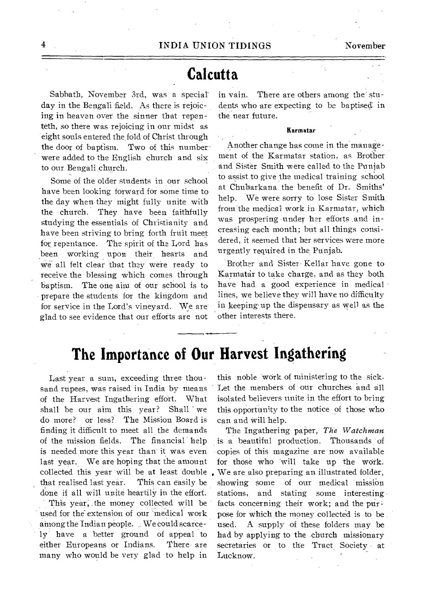#### **Calcutta**

Sabbath, November 3rd, was a special day in the Bengali field. As there is rejoicing in heaven over the sinner that repenteth, so there was rejoicing in our midst as eight souls entered the fold of Christ through the door of baptism. Two of this numberwere added to the English church and six to our Bengali church.

Some of the older students in our school have been looking forward for some time to the day when they might fully unite with the church. They have been faithfully studying the essentials of Christianity and have been striving to bring forth fruit meet for repentance. The spirit of the Lord has been working upon their hearts and We.all felt clear that they were ready to receive the blessing which comes through baptism. The one aim of our school is to prepare the students for the kingdom and for service in the Lord's vineyard. We are glad to see evidence that our efforts are not in vain. There are others among the' students who are expecting to be baptised in -the near future.

 $\epsilon_{\rm in}$ 

#### Karmatar

Another change has come in the management of the Karmatar station, as Brother and Sister Smith were called to the Punjab to assist to give the medical training school at Chuharkana the benefit of Dr. Smiths' help. We were sorry to lose Sister Smith from the medical work in Karmatar, which was prospering -under her efforts ,and increasing each month; but all things considered, it seemed that her services were more urgently required in the Punjab.

Brother and Sister Kellar have gone to Karmatar to take charge, and as they both have had a good experience in medical lines, we believe they will have rio difficulty in keeping•up the dispensary as well as the other interests there.

### **The Importance of Our Harvest Ingathering**

Last year a sum, exceeding three thousand rupees, was raised in India by means of the Harvest Ingathering effort. What shall be our aim this year? Shall we do more? or less? The Mission Board is finding it difficult to meet all the demands of the mission fields. The financial help is needed more this year than' it was even last year. We are hoping that the amount collected this year will be at least double that realised last year. This can easily be done if all will unite heartily in the effort.

This year; .the money collected will be used for the extension of our 'medical work among the Indian people. We Could scarcely have a better ground of appeal to either Europeans or Indians. There are many who would be very glad to help in

this noble work of ministering to the sick. Let the members of our churches and all isolated believers unite in the effort to bring this opportunity to the notice of those who can and Will help.

The Ingathering paper, *The Watchman*  is a beautiful production. Thousands of copies of this magazine are now available for those who will take up the work. We are also preparing an illustrated folder, showing some of our medical mission stations, and stating some interesting facts concerning their work; and the purpose for which the money collected is to be used. A supply -of these folders may be bad by applying to the church missionary secretaries or to the Tract Society at Lucknow.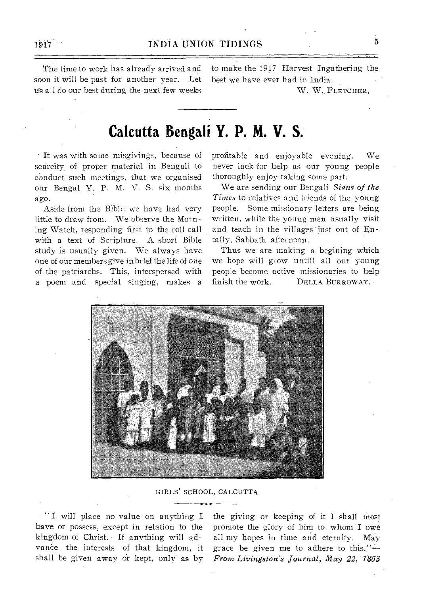The time to work has already arrived and soon it will be past for another year. Let Us all do our best during the next few weeks

to make the 1917 Harvest Ingathering the best we have ever had in India.

W. W. FLETCHER,

#### **Calcutta Bengali Y. P. M. V. S.**

It was with some misgivings, because of scarcity of proper material in Bengali to conduct such meetings, that we organised our Bengal Y. P. M. V. S. six months ago.

Aside from the Bible we have had very little to draw from. We observe the Morning Watch, responding first to the roll call with a text of Scripture. A short Bible study is usually given. We always have one of our members give in brief the life of one of the patriarchs. This, interspersed with a poem and special singing, makes a

profitable and enjoyable evening. We never lack for help as our young people thoroughly enjoy taking some part:

We are sending our Bengali *Signs of the Times* to relatives and friends of the young people. Some missionary letters are being written, while the young men usually visit and teach in the villages just out of Entally, Sabbath afternoon.

Thus we are making a begining which we hope will grow untill all our young people become active missionaries to help finish the work. DELLA BURROWAY.



GIRLS' SCHOOL, CALCUTTA

"I will place no value on anything I have or possess, except in relation to the kingdom of Christ. If anything will advance the interests of that kingdom, it shall be given away or kept, only as by

the giving or keeping of it I shall most promote the glory of him to whom I owe all my hopes in time and eternity. May grace be given me to adhere to this."— *From Livingston's Journal, May 22, 1853* 

 $\ddot{\phantom{1}}$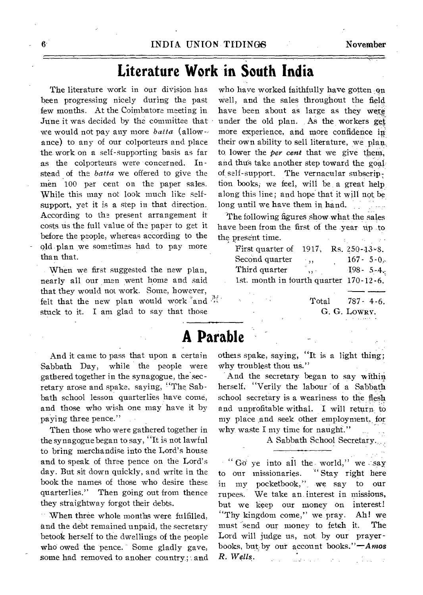# **Literature Work in South India**

The literature work in our division has been progressing nicely during the past few months. At the Coimbatore meeting in June it was decided by the committee that we would not pay any more *batta* (allow-, ance) to any of our colporteurs and place the work on a self-supporting basis as far as the colporteurs were concerned. Instead of the *batta* we offered to give the men 100 per cent on the paper sales. While this may not look much like selfsupport, yet it is a step in that direction. According to the present arrangement it costs, us the full value of the paper to get it before the people, whereas according to the old plan we sometimes had to pay more than that.

When we first suggested the new plan, nearly all our men went home and said that they would not work. Some, however, felt that the new plan would work and  $\mathbb{R}^n$ . stuck to it. I am glad to say that those

And it came to pass that upon a certain Sabbath Day, while the people were gathered together in the synagogue, the secretary arose and spake, saying, 'The Sabbath school lesson quarterlies have come, and those who wish one may have it by paying three pence."

Then those who were gathered together in the synagogue began to say, "It is not lawful to bring merchandise into the Lord's house and to speak of three pence on the Lord's day. But sit down quickly, and write in the book the names of those who desire these quarterlies." Then going out from thence they straightway forgot their debts.

When three whole months were fulfilled, and the debt remained unpaid, the secretary betook herself to the dwellings of the people who owed the pence. Some gladly gave, some had removed to anoher country; and

who have worked faithfully have gotten on well, and the sales throughout the field have been about as large as they were under the old plan. As the workers get more experience, and more confidence in their own ability to sell literature, we plan. to lower the *per cent* that we give them, and thus take another step toward the goal of self-support. The vernacular subscription books; we feel, will be a great help along this line; and hope that it will not be long until we have them in hand.

The following figures show what the sales have been from the first of the year up to the present time.

| First quarter of 1917,                 |               | $Rs. 250 - 13 - 8.$ |  |
|----------------------------------------|---------------|---------------------|--|
| Second quarter                         | $\cdot$ ,,    | $167 - 5 - 0.$      |  |
| Third quarter                          | $\sim$ $\sim$ | $198 - 5 - 4$       |  |
| 1st. month in fourth quarter 170-12-6. |               |                     |  |

Total 787- 4-6. G. G. LOWRY.

# **A Parable**

others spake, saying, "It is a light thing; why troublest thou us."

And the secretary began to say within herself, "Verily the labour of a Sabbath school secretary is a weariness to the flesh and unprofitable withal. I will return to my place ,and seek other employment, for why waste I my time for naught."

A Sabbath School Secretary..,

 $\cdot$  " Go ye into all the world," we say to our missionaries. " Stay right here in my pocketbook,", we say to our rupees. We take an. interest in missions, but we keep our money on interest! "Thy kingdom come," we pray. Ah! we must 'send our money to fetch it. The Lord will judge us, not by our prayerbooks, but by our account books." $-A$ *mos R. Wells.*  $\sim 10$ in Cole

6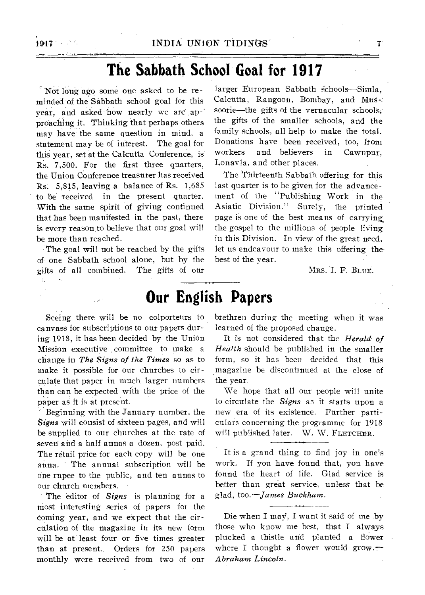# **The Sabbath School Goal for 1917**

Not long ago some one asked to be reminded of the Sabbath school goal for this vear, and asked how nearly we are approaching it. Thinking that perhaps others may have the same question in mind, a statement may be of interest. The goal for this year, set at the Calcutta Conference, is Rs. 7,500. For the first three quarters, the Union Conference treasurer has received Rs. 5,815, leaving a balance of Rs. 1,685 to be received in the present quarter. With the same spirit of giving continued that has been manifested in the past, there is every reason to believe that our goal will be more than reached.

The goal will not be reached by the gifts of one Sabbath school alone, but by the gifts of all combined. The gifts of our

larger European Sabbath schools-Simla, Calcutta, Rangoon, Bombay, and- MuS-: soorie—the gifts of the vernacular schools; the gifts of the smaller schools, and the family schools, all help to make the total. Donations have been received, too, from workers and believers in Cawnpur, Lonavla, and other places.

The Thirteenth Sabbath offering for this last quarter is to be given for the advancement of the "Publishing Work in the Asiatic Division." Surely, the printed page is one of the best means of carrying. the gospel to the millions of people living in this Division. In view of the great need, let us endeavour to make this offering thebest of the year.

MRS. I. F. BLUE.

#### **Our English Papers**

canvass for subscriptions to our papers during 1918, it has been decided by the Union Mission executive , committee to make a change in *The Signs of the Times* so as to make it possible for our churches to circulate that paper in much larger numbers than can be expected with the price of the paper as it is at present.

Beginning with the January number, the *Signs* will consist of sixteen pages, and will be supplied to our churches at the rate of seven and a half annas a dozen, post paid. The retail price for each copy will be one anna. The annual subscription will be one rupee to the public, and ten annas to our church members.

The editor of *Signs* is planning for a most interesting series of papers for the coming year, and we expect that the circulation of the magazine in its new form will be at least four or five times greater than at present. Orders for 250 papers monthly were received from two of our

Seeing there will be no colporteurs to brethren during the meeting when it was learned of the proposed change.

> It is not considered that the *Herald of Health* should be published in the smaller form, so it has been decided that this magazine be discontinued at the close of the year.

> We hope that all our people will unite to circulate the *Signs* as it starts upon a new era of its existence. Further particulars concerning the programme for 1918 will published later. W. W. FLETCHER.

> It is a grand thing to find joy in one's work. If you have found that, you have found the heart of life. Glad service is better than great service, unless that be glad, *too.—James Buckham.*

> Die when I may, I want it said of me by those who know me best, that I always plucked a thistle and planted a flower where I thought a flower would grow. $-$ *Abraham Lincoln.*